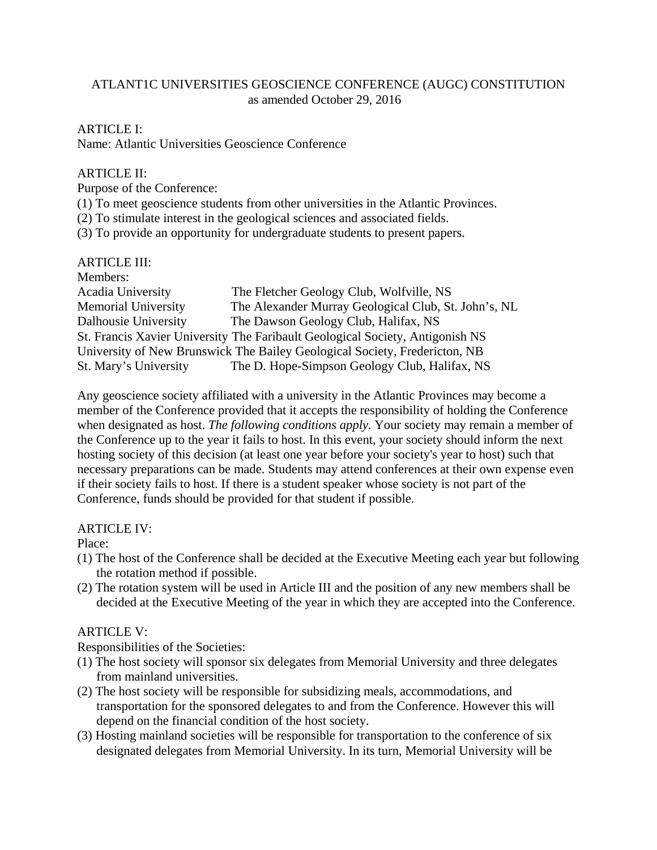### ATLANT1C UNIVERSITIES GEOSCIENCE CONFERENCE (AUGC) CONSTITUTION as amended October 29, 2016

#### ARTICLE I:

Name: Atlantic Universities Geoscience Conference

#### ARTICLE II:

Purpose of the Conference:

- (1) To meet geoscience students from other universities in the Atlantic Provinces.
- (2) To stimulate interest in the geological sciences and associated fields.

(3) To provide an opportunity for undergraduate students to present papers.

| <b>ARTICLE III:</b>        |                                                                               |
|----------------------------|-------------------------------------------------------------------------------|
| Members:                   |                                                                               |
| Acadia University          | The Fletcher Geology Club, Wolfville, NS                                      |
| <b>Memorial University</b> | The Alexander Murray Geological Club, St. John's, NL                          |
| Dalhousie University       | The Dawson Geology Club, Halifax, NS                                          |
|                            | St. Francis Xavier University The Faribault Geological Society, Antigonish NS |
|                            | University of New Brunswick The Bailey Geological Society, Fredericton, NB    |
| St. Mary's University      | The D. Hope-Simpson Geology Club, Halifax, NS                                 |

Any geoscience society affiliated with a university in the Atlantic Provinces may become a member of the Conference provided that it accepts the responsibility of holding the Conference when designated as host. *The following conditions apply.* Your society may remain a member of the Conference up to the year it fails to host. In this event, your society should inform the next hosting society of this decision (at least one year before your society's year to host) such that necessary preparations can be made. Students may attend conferences at their own expense even if their society fails to host. If there is a student speaker whose society is not part of the Conference, funds should be provided for that student if possible.

### ARTICLE IV:

Place:

- (1) The host of the Conference shall be decided at the Executive Meeting each year but following the rotation method if possible.
- (2) The rotation system will be used in Article III and the position of any new members shall be decided at the Executive Meeting of the year in which they are accepted into the Conference.

### ARTICLE V:

Responsibilities of the Societies:

- (1) The host society will sponsor six delegates from Memorial University and three delegates from mainland universities.
- (2) The host society will be responsible for subsidizing meals, accommodations, and transportation for the sponsored delegates to and from the Conference. However this will depend on the financial condition of the host society.
- (3) Hosting mainland societies will be responsible for transportation to the conference of six designated delegates from Memorial University. In its turn, Memorial University will be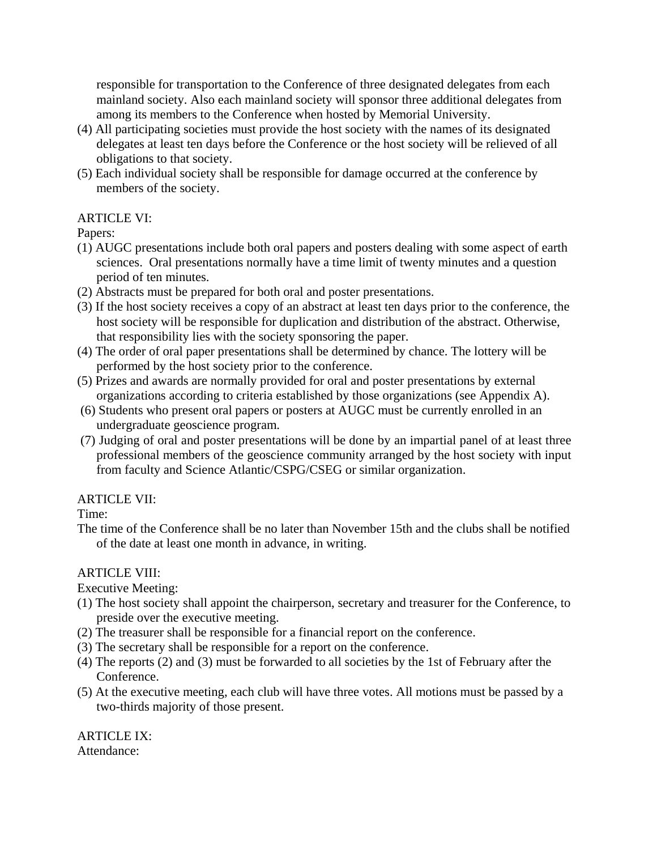responsible for transportation to the Conference of three designated delegates from each mainland society. Also each mainland society will sponsor three additional delegates from among its members to the Conference when hosted by Memorial University.

- (4) All participating societies must provide the host society with the names of its designated delegates at least ten days before the Conference or the host society will be relieved of all obligations to that society.
- (5) Each individual society shall be responsible for damage occurred at the conference by members of the society.

### ARTICLE VI:

### Papers:

- (1) AUGC presentations include both oral papers and posters dealing with some aspect of earth sciences. Oral presentations normally have a time limit of twenty minutes and a question period of ten minutes.
- (2) Abstracts must be prepared for both oral and poster presentations.
- (3) If the host society receives a copy of an abstract at least ten days prior to the conference, the host society will be responsible for duplication and distribution of the abstract. Otherwise, that responsibility lies with the society sponsoring the paper.
- (4) The order of oral paper presentations shall be determined by chance. The lottery will be performed by the host society prior to the conference.
- (5) Prizes and awards are normally provided for oral and poster presentations by external organizations according to criteria established by those organizations (see Appendix A).
- (6) Students who present oral papers or posters at AUGC must be currently enrolled in an undergraduate geoscience program.
- (7) Judging of oral and poster presentations will be done by an impartial panel of at least three professional members of the geoscience community arranged by the host society with input from faculty and Science Atlantic/CSPG/CSEG or similar organization.

# ARTICLE VII:

Time:

The time of the Conference shall be no later than November 15th and the clubs shall be notified of the date at least one month in advance, in writing.

# ARTICLE VIII:

Executive Meeting:

- (1) The host society shall appoint the chairperson, secretary and treasurer for the Conference, to preside over the executive meeting.
- (2) The treasurer shall be responsible for a financial report on the conference.
- (3) The secretary shall be responsible for a report on the conference.
- (4) The reports (2) and (3) must be forwarded to all societies by the 1st of February after the Conference.
- (5) At the executive meeting, each club will have three votes. All motions must be passed by a two-thirds majority of those present.

ARTICLE IX: Attendance: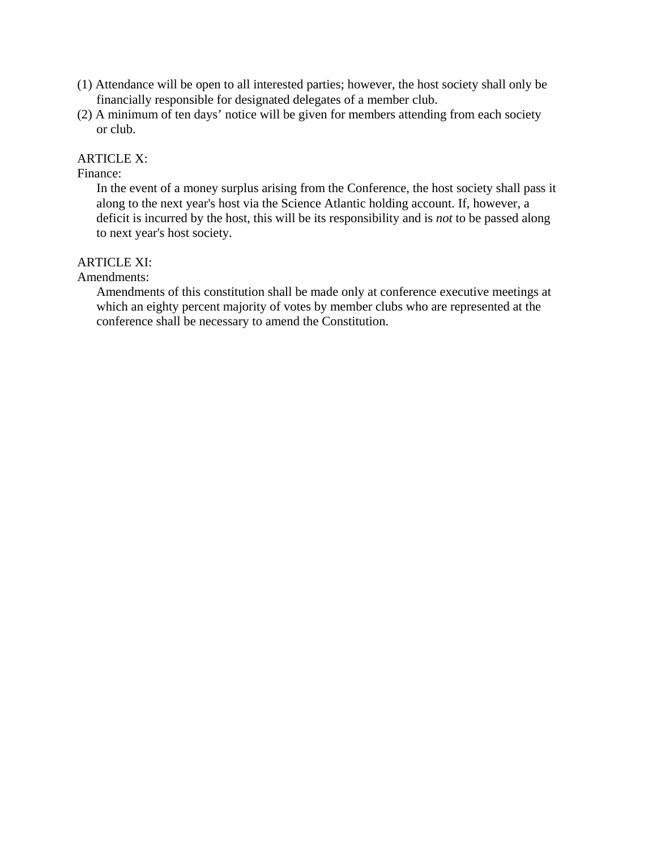- (1) Attendance will be open to all interested parties; however, the host society shall only be financially responsible for designated delegates of a member club.
- (2) A minimum of ten days' notice will be given for members attending from each society or club.

#### ARTICLE X:

#### Finance:

In the event of a money surplus arising from the Conference, the host society shall pass it along to the next year's host via the Science Atlantic holding account. If, however, a deficit is incurred by the host, this will be its responsibility and is *not* to be passed along to next year's host society.

### ARTICLE XI:

Amendments:

Amendments of this constitution shall be made only at conference executive meetings at which an eighty percent majority of votes by member clubs who are represented at the conference shall be necessary to amend the Constitution.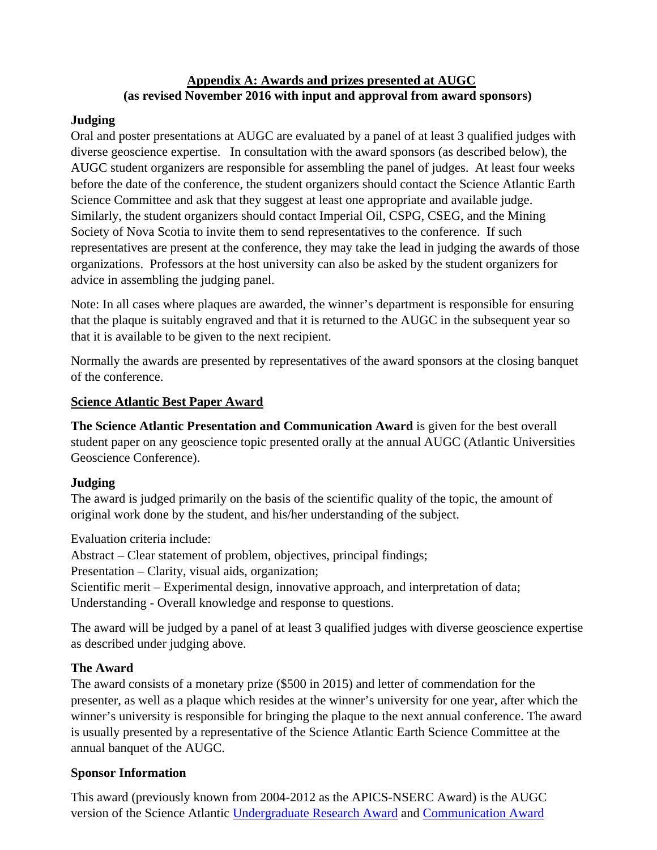#### **Appendix A: Awards and prizes presented at AUGC (as revised November 2016 with input and approval from award sponsors)**

### **Judging**

Oral and poster presentations at AUGC are evaluated by a panel of at least 3 qualified judges with diverse geoscience expertise. In consultation with the award sponsors (as described below), the AUGC student organizers are responsible for assembling the panel of judges. At least four weeks before the date of the conference, the student organizers should contact the Science Atlantic Earth Science Committee and ask that they suggest at least one appropriate and available judge. Similarly, the student organizers should contact Imperial Oil, CSPG, CSEG, and the Mining Society of Nova Scotia to invite them to send representatives to the conference. If such representatives are present at the conference, they may take the lead in judging the awards of those organizations. Professors at the host university can also be asked by the student organizers for advice in assembling the judging panel.

Note: In all cases where plaques are awarded, the winner's department is responsible for ensuring that the plaque is suitably engraved and that it is returned to the AUGC in the subsequent year so that it is available to be given to the next recipient.

Normally the awards are presented by representatives of the award sponsors at the closing banquet of the conference.

### **Science Atlantic Best Paper Award**

**The Science Atlantic Presentation and Communication Award** is given for the best overall student paper on any geoscience topic presented orally at the annual AUGC (Atlantic Universities Geoscience Conference).

# **Judging**

The award is judged primarily on the basis of the scientific quality of the topic, the amount of original work done by the student, and his/her understanding of the subject.

Evaluation criteria include:

Abstract – Clear statement of problem, objectives, principal findings;

Presentation – Clarity, visual aids, organization;

Scientific merit – Experimental design, innovative approach, and interpretation of data; Understanding - Overall knowledge and response to questions.

The award will be judged by a panel of at least 3 qualified judges with diverse geoscience expertise as described under judging above.

# **The Award**

The award consists of a monetary prize (\$500 in 2015) and letter of commendation for the presenter, as well as a plaque which resides at the winner's university for one year, after which the winner's university is responsible for bringing the plaque to the next annual conference. The award is usually presented by a representative of the Science Atlantic Earth Science Committee at the annual banquet of the AUGC.

# **Sponsor Information**

This award (previously known from 2004-2012 as the APICS-NSERC Award) is the AUGC version of the Science Atlantic Undergraduate Research Award and Communication Award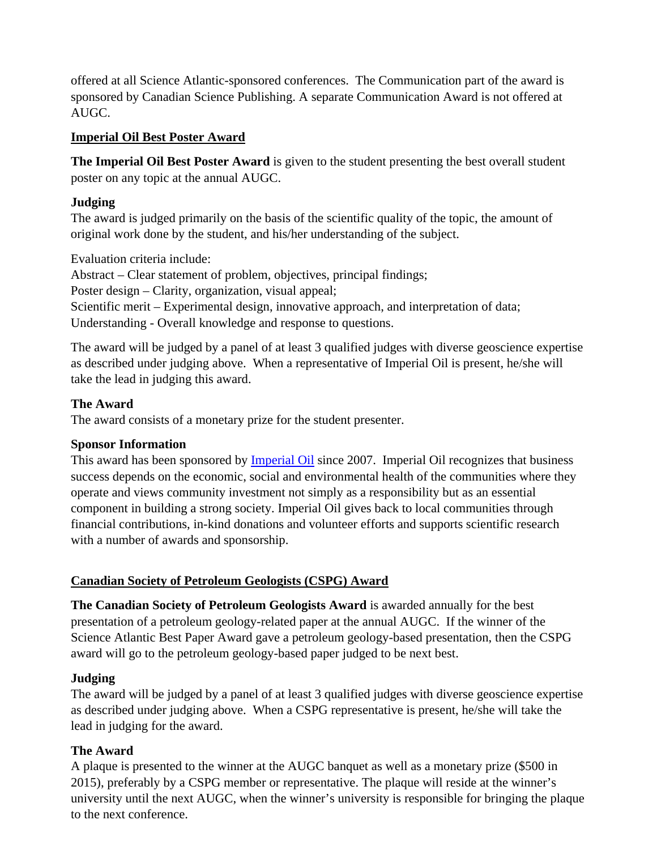offered at all Science Atlantic-sponsored conferences. The Communication part of the award is sponsored by Canadian Science Publishing. A separate Communication Award is not offered at AUGC.

### **Imperial Oil Best Poster Award**

**The Imperial Oil Best Poster Award** is given to the student presenting the best overall student poster on any topic at the annual AUGC.

### **Judging**

The award is judged primarily on the basis of the scientific quality of the topic, the amount of original work done by the student, and his/her understanding of the subject.

Evaluation criteria include:

Abstract – Clear statement of problem, objectives, principal findings; Poster design – Clarity, organization, visual appeal; Scientific merit – Experimental design, innovative approach, and interpretation of data; Understanding - Overall knowledge and response to questions.

The award will be judged by a panel of at least 3 qualified judges with diverse geoscience expertise as described under judging above. When a representative of Imperial Oil is present, he/she will take the lead in judging this award.

# **The Award**

The award consists of a monetary prize for the student presenter.

# **Sponsor Information**

This award has been sponsored by Imperial Oil since 2007. Imperial Oil recognizes that business success depends on the economic, social and environmental health of the communities where they operate and views community investment not simply as a responsibility but as an essential component in building a strong society. Imperial Oil gives back to local communities through financial contributions, in-kind donations and volunteer efforts and supports scientific research with a number of awards and sponsorship.

# **Canadian Society of Petroleum Geologists (CSPG) Award**

**The Canadian Society of Petroleum Geologists Award** is awarded annually for the best presentation of a petroleum geology-related paper at the annual AUGC. If the winner of the Science Atlantic Best Paper Award gave a petroleum geology-based presentation, then the CSPG award will go to the petroleum geology-based paper judged to be next best.

# **Judging**

The award will be judged by a panel of at least 3 qualified judges with diverse geoscience expertise as described under judging above. When a CSPG representative is present, he/she will take the lead in judging for the award.

# **The Award**

A plaque is presented to the winner at the AUGC banquet as well as a monetary prize (\$500 in 2015), preferably by a CSPG member or representative. The plaque will reside at the winner's university until the next AUGC, when the winner's university is responsible for bringing the plaque to the next conference.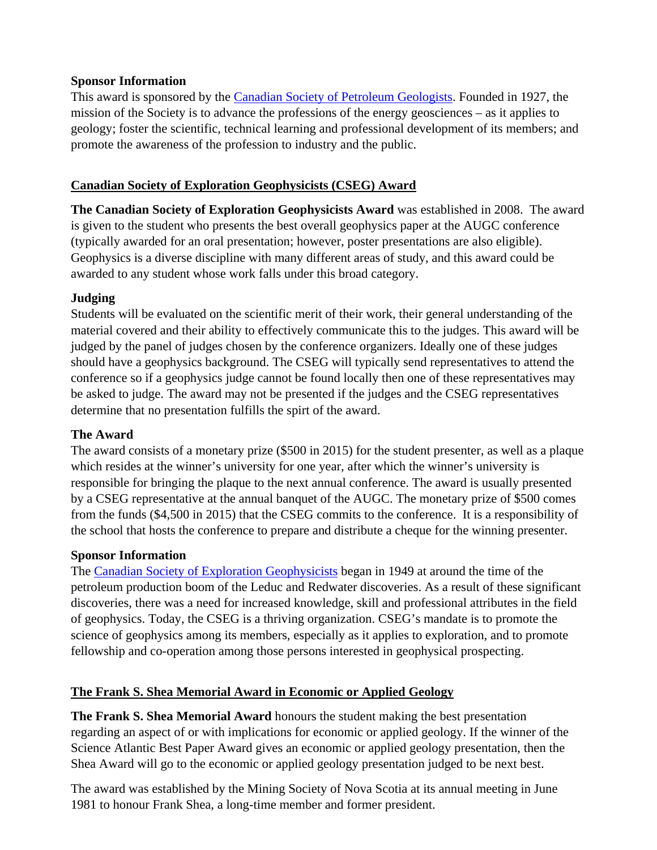#### **Sponsor Information**

This award is sponsored by the Canadian Society of Petroleum Geologists. Founded in 1927, the mission of the Society is to advance the professions of the energy geosciences – as it applies to geology; foster the scientific, technical learning and professional development of its members; and promote the awareness of the profession to industry and the public.

### **Canadian Society of Exploration Geophysicists (CSEG) Award**

**The Canadian Society of Exploration Geophysicists Award** was established in 2008. The award is given to the student who presents the best overall geophysics paper at the AUGC conference (typically awarded for an oral presentation; however, poster presentations are also eligible). Geophysics is a diverse discipline with many different areas of study, and this award could be awarded to any student whose work falls under this broad category.

### **Judging**

Students will be evaluated on the scientific merit of their work, their general understanding of the material covered and their ability to effectively communicate this to the judges. This award will be judged by the panel of judges chosen by the conference organizers. Ideally one of these judges should have a geophysics background. The CSEG will typically send representatives to attend the conference so if a geophysics judge cannot be found locally then one of these representatives may be asked to judge. The award may not be presented if the judges and the CSEG representatives determine that no presentation fulfills the spirt of the award.

### **The Award**

The award consists of a monetary prize (\$500 in 2015) for the student presenter, as well as a plaque which resides at the winner's university for one year, after which the winner's university is responsible for bringing the plaque to the next annual conference. The award is usually presented by a CSEG representative at the annual banquet of the AUGC. The monetary prize of \$500 comes from the funds (\$4,500 in 2015) that the CSEG commits to the conference. It is a responsibility of the school that hosts the conference to prepare and distribute a cheque for the winning presenter.

### **Sponsor Information**

The Canadian Society of Exploration Geophysicists began in 1949 at around the time of the petroleum production boom of the Leduc and Redwater discoveries. As a result of these significant discoveries, there was a need for increased knowledge, skill and professional attributes in the field of geophysics. Today, the CSEG is a thriving organization. CSEG's mandate is to promote the science of geophysics among its members, especially as it applies to exploration, and to promote fellowship and co-operation among those persons interested in geophysical prospecting.

# **The Frank S. Shea Memorial Award in Economic or Applied Geology**

**The Frank S. Shea Memorial Award** honours the student making the best presentation regarding an aspect of or with implications for economic or applied geology. If the winner of the Science Atlantic Best Paper Award gives an economic or applied geology presentation, then the Shea Award will go to the economic or applied geology presentation judged to be next best.

The award was established by the Mining Society of Nova Scotia at its annual meeting in June 1981 to honour Frank Shea, a long-time member and former president.